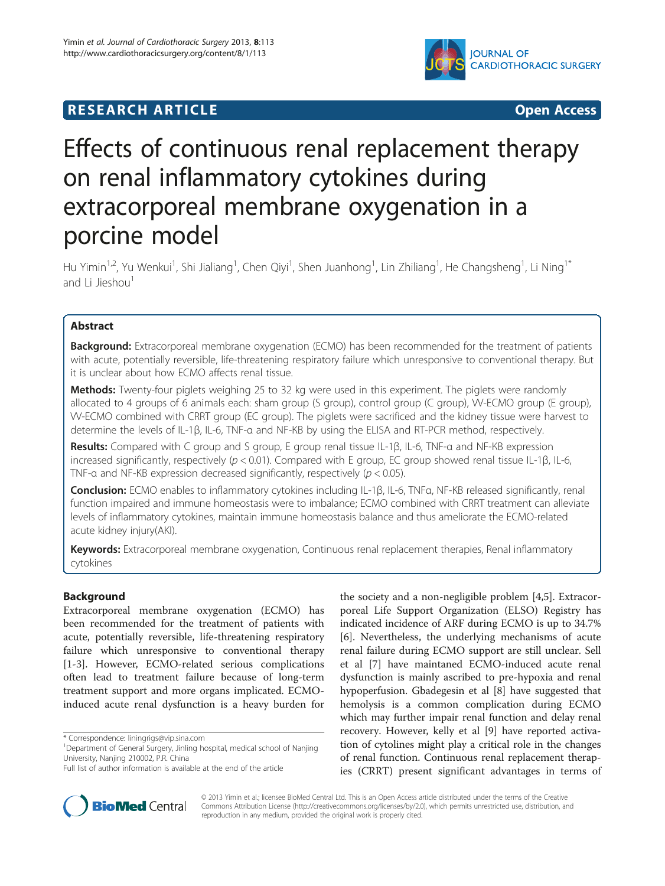# **RESEARCH ARTICLE CONSUMING A RESEARCH ARTICLE**



# Effects of continuous renal replacement therapy on renal inflammatory cytokines during extracorporeal membrane oxygenation in a porcine model

Hu Yimin<sup>1,2</sup>, Yu Wenkui<sup>1</sup>, Shi Jialiang<sup>1</sup>, Chen Qiyi<sup>1</sup>, Shen Juanhong<sup>1</sup>, Lin Zhiliang<sup>1</sup>, He Changsheng<sup>1</sup>, Li Ning<sup>1\*</sup> and Li Jieshou<sup>1</sup>

# Abstract

Background: Extracorporeal membrane oxygenation (ECMO) has been recommended for the treatment of patients with acute, potentially reversible, life-threatening respiratory failure which unresponsive to conventional therapy. But it is unclear about how ECMO affects renal tissue.

Methods: Twenty-four piglets weighing 25 to 32 kg were used in this experiment. The piglets were randomly allocated to 4 groups of 6 animals each: sham group (S group), control group (C group), W-ECMO group (E group), VV-ECMO combined with CRRT group (EC group). The piglets were sacrificed and the kidney tissue were harvest to determine the levels of IL-1β, IL-6, TNF-α and NF-КB by using the ELISA and RT-PCR method, respectively.

Results: Compared with C group and S group, E group renal tissue IL-1β, IL-6, TNF-α and NF-KB expression increased significantly, respectively (p < 0.01). Compared with E group, EC group showed renal tissue IL-1β, IL-6, TNF- $\alpha$  and NF-KB expression decreased significantly, respectively ( $p < 0.05$ ).

Conclusion: ECMO enables to inflammatory cytokines including IL-1β, IL-6, TNFα, NF-КB released significantly, renal function impaired and immune homeostasis were to imbalance; ECMO combined with CRRT treatment can alleviate levels of inflammatory cytokines, maintain immune homeostasis balance and thus ameliorate the ECMO-related acute kidney injury(AKI).

Keywords: Extracorporeal membrane oxygenation, Continuous renal replacement therapies, Renal inflammatory cytokines

# Background

Extracorporeal membrane oxygenation (ECMO) has been recommended for the treatment of patients with acute, potentially reversible, life-threatening respiratory failure which unresponsive to conventional therapy [[1-3](#page-3-0)]. However, ECMO-related serious complications often lead to treatment failure because of long-term treatment support and more organs implicated. ECMOinduced acute renal dysfunction is a heavy burden for

\* Correspondence: [liningrigs@vip.sina.com](mailto:liningrigs@vip.sina.com) <sup>1</sup>

the society and a non-negligible problem [[4,5\]](#page-3-0). Extracorporeal Life Support Organization (ELSO) Registry has indicated incidence of ARF during ECMO is up to 34.7% [[6\]](#page-3-0). Nevertheless, the underlying mechanisms of acute renal failure during ECMO support are still unclear. Sell et al [[7\]](#page-4-0) have maintaned ECMO-induced acute renal dysfunction is mainly ascribed to pre-hypoxia and renal hypoperfusion. Gbadegesin et al [\[8](#page-4-0)] have suggested that hemolysis is a common complication during ECMO which may further impair renal function and delay renal recovery. However, kelly et al [\[9](#page-4-0)] have reported activation of cytolines might play a critical role in the changes of renal function. Continuous renal replacement therapies (CRRT) present significant advantages in terms of



© 2013 Yimin et al.; licensee BioMed Central Ltd. This is an Open Access article distributed under the terms of the Creative Commons Attribution License [\(http://creativecommons.org/licenses/by/2.0\)](http://creativecommons.org/licenses/by/2.0), which permits unrestricted use, distribution, and reproduction in any medium, provided the original work is properly cited.

Department of General Surgery, Jinling hospital, medical school of Nanjing University, Nanjing 210002, P.R. China

Full list of author information is available at the end of the article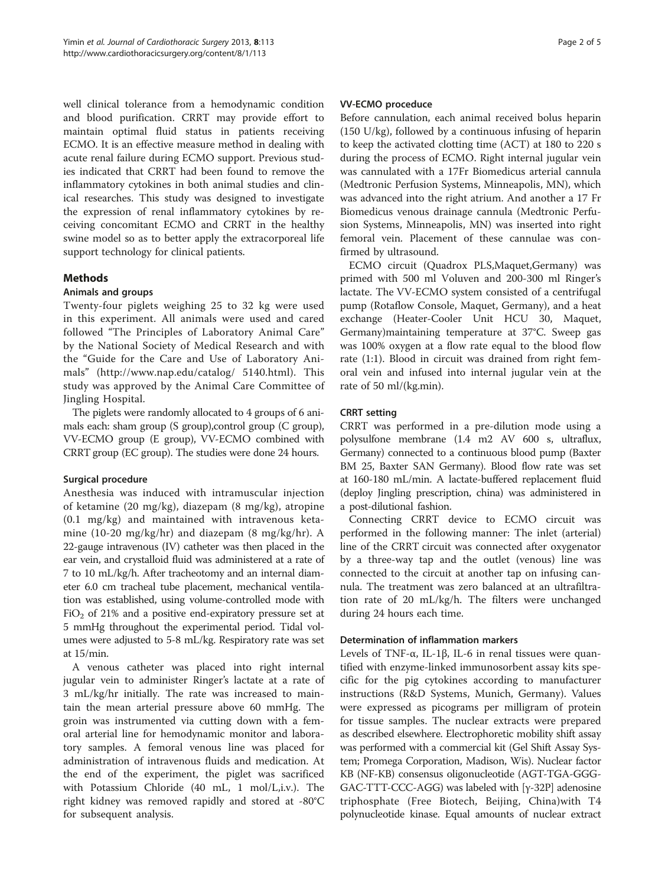well clinical tolerance from a hemodynamic condition and blood purification. CRRT may provide effort to maintain optimal fluid status in patients receiving ECMO. It is an effective measure method in dealing with acute renal failure during ECMO support. Previous studies indicated that CRRT had been found to remove the inflammatory cytokines in both animal studies and clinical researches. This study was designed to investigate the expression of renal inflammatory cytokines by receiving concomitant ECMO and CRRT in the healthy swine model so as to better apply the extracorporeal life support technology for clinical patients.

# Methods

# Animals and groups

Twenty-four piglets weighing 25 to 32 kg were used in this experiment. All animals were used and cared followed "The Principles of Laboratory Animal Care" by the National Society of Medical Research and with the "Guide for the Care and Use of Laboratory Animals" ([http://www.nap.edu/catalog/ 5140.html\)](http://www.nap.edu/catalog/ 5140.html). This study was approved by the Animal Care Committee of Jingling Hospital.

The piglets were randomly allocated to 4 groups of 6 animals each: sham group (S group),control group (C group), VV-ECMO group (E group), VV-ECMO combined with CRRT group (EC group). The studies were done 24 hours.

# Surgical procedure

Anesthesia was induced with intramuscular injection of ketamine (20 mg/kg), diazepam (8 mg/kg), atropine (0.1 mg/kg) and maintained with intravenous ketamine (10-20 mg/kg/hr) and diazepam (8 mg/kg/hr). A 22-gauge intravenous (IV) catheter was then placed in the ear vein, and crystalloid fluid was administered at a rate of 7 to 10 mL/kg/h. After tracheotomy and an internal diameter 6.0 cm tracheal tube placement, mechanical ventilation was established, using volume-controlled mode with  $FiO<sub>2</sub>$  of 21% and a positive end-expiratory pressure set at 5 mmHg throughout the experimental period. Tidal volumes were adjusted to 5-8 mL/kg. Respiratory rate was set at 15/min.

A venous catheter was placed into right internal jugular vein to administer Ringer's lactate at a rate of 3 mL/kg/hr initially. The rate was increased to maintain the mean arterial pressure above 60 mmHg. The groin was instrumented via cutting down with a femoral arterial line for hemodynamic monitor and laboratory samples. A femoral venous line was placed for administration of intravenous fluids and medication. At the end of the experiment, the piglet was sacrificed with Potassium Chloride (40 mL, 1 mol/L,i.v.). The right kidney was removed rapidly and stored at -80°C for subsequent analysis.

### VV-ECMO proceduce

Before cannulation, each animal received bolus heparin (150 U/kg), followed by a continuous infusing of heparin to keep the activated clotting time (ACT) at 180 to 220 s during the process of ECMO. Right internal jugular vein was cannulated with a 17Fr Biomedicus arterial cannula (Medtronic Perfusion Systems, Minneapolis, MN), which was advanced into the right atrium. And another a 17 Fr Biomedicus venous drainage cannula (Medtronic Perfusion Systems, Minneapolis, MN) was inserted into right femoral vein. Placement of these cannulae was confirmed by ultrasound.

ECMO circuit (Quadrox PLS,Maquet,Germany) was primed with 500 ml Voluven and 200-300 ml Ringer's lactate. The VV-ECMO system consisted of a centrifugal pump (Rotaflow Console, Maquet, Germany), and a heat exchange (Heater-Cooler Unit HCU 30, Maquet, Germany)maintaining temperature at 37°C. Sweep gas was 100% oxygen at a flow rate equal to the blood flow rate (1:1). Blood in circuit was drained from right femoral vein and infused into internal jugular vein at the rate of 50 ml/(kg.min).

### CRRT setting

CRRT was performed in a pre-dilution mode using a polysulfone membrane (1.4 m2 AV 600 s, ultraflux, Germany) connected to a continuous blood pump (Baxter BM 25, Baxter SAN Germany). Blood flow rate was set at 160-180 mL/min. A lactate-buffered replacement fluid (deploy Jingling prescription, china) was administered in a post-dilutional fashion.

Connecting CRRT device to ECMO circuit was performed in the following manner: The inlet (arterial) line of the CRRT circuit was connected after oxygenator by a three-way tap and the outlet (venous) line was connected to the circuit at another tap on infusing cannula. The treatment was zero balanced at an ultrafiltration rate of 20 mL/kg/h. The filters were unchanged during 24 hours each time.

### Determination of inflammation markers

Levels of TNF- $\alpha$ , IL-1β, IL-6 in renal tissues were quantified with enzyme-linked immunosorbent assay kits specific for the pig cytokines according to manufacturer instructions (R&D Systems, Munich, Germany). Values were expressed as picograms per milligram of protein for tissue samples. The nuclear extracts were prepared as described elsewhere. Electrophoretic mobility shift assay was performed with a commercial kit (Gel Shift Assay System; Promega Corporation, Madison, Wis). Nuclear factor КB (NF-КB) consensus oligonucleotide (AGT-TGA-GGG-GAC-TTT-CCC-AGG) was labeled with [γ-32P] adenosine triphosphate (Free Biotech, Beijing, China)with T4 polynucleotide kinase. Equal amounts of nuclear extract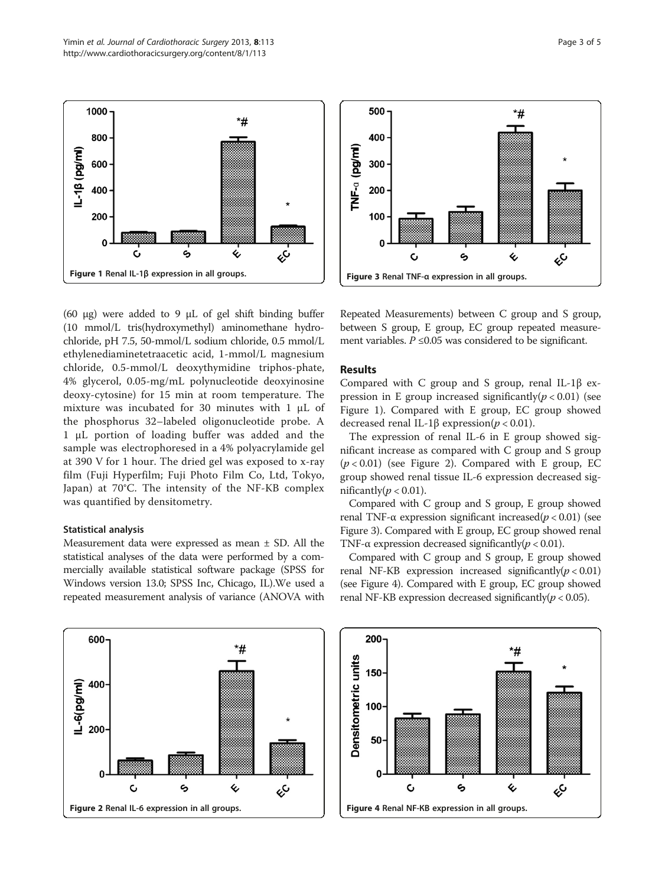



(60 μg) were added to 9 μL of gel shift binding buffer (10 mmol/L tris(hydroxymethyl) aminomethane hydrochloride, pH 7.5, 50-mmol/L sodium chloride, 0.5 mmol/L ethylenediaminetetraacetic acid, 1-mmol/L magnesium chloride, 0.5-mmol/L deoxythymidine triphos-phate, 4% glycerol, 0.05-mg/mL polynucleotide deoxyinosine deoxy-cytosine) for 15 min at room temperature. The mixture was incubated for 30 minutes with 1 μL of the phosphorus 32–labeled oligonucleotide probe. A 1 μL portion of loading buffer was added and the sample was electrophoresed in a 4% polyacrylamide gel at 390 V for 1 hour. The dried gel was exposed to x-ray film (Fuji Hyperfilm; Fuji Photo Film Co, Ltd, Tokyo, Japan) at 70°C. The intensity of the NF-КB complex was quantified by densitometry.

#### Statistical analysis

Measurement data were expressed as mean ± SD. All the statistical analyses of the data were performed by a commercially available statistical software package (SPSS for Windows version 13.0; SPSS Inc, Chicago, IL).We used a repeated measurement analysis of variance (ANOVA with



Repeated Measurements) between C group and S group, between S group, E group, EC group repeated measurement variables.  $P \leq 0.05$  was considered to be significant.

# Results

Compared with C group and S group, renal IL-1β expression in E group increased significantly( $p < 0.01$ ) (see Figure 1). Compared with E group, EC group showed decreased renal IL-1β expression( $p < 0.01$ ).

The expression of renal IL-6 in E group showed significant increase as compared with C group and S group  $(p < 0.01)$  (see Figure 2). Compared with E group, EC group showed renal tissue IL-6 expression decreased significantly( $p < 0.01$ ).

Compared with C group and S group, E group showed renal TNF-α expression significant increased( $p < 0.01$ ) (see Figure 3). Compared with E group, EC group showed renal TNF- $\alpha$  expression decreased significantly( $p < 0.01$ ).

Compared with C group and S group, E group showed renal NF-KB expression increased significantly( $p < 0.01$ ) (see Figure 4). Compared with E group, EC group showed renal NF-KB expression decreased significantly( $p < 0.05$ ).

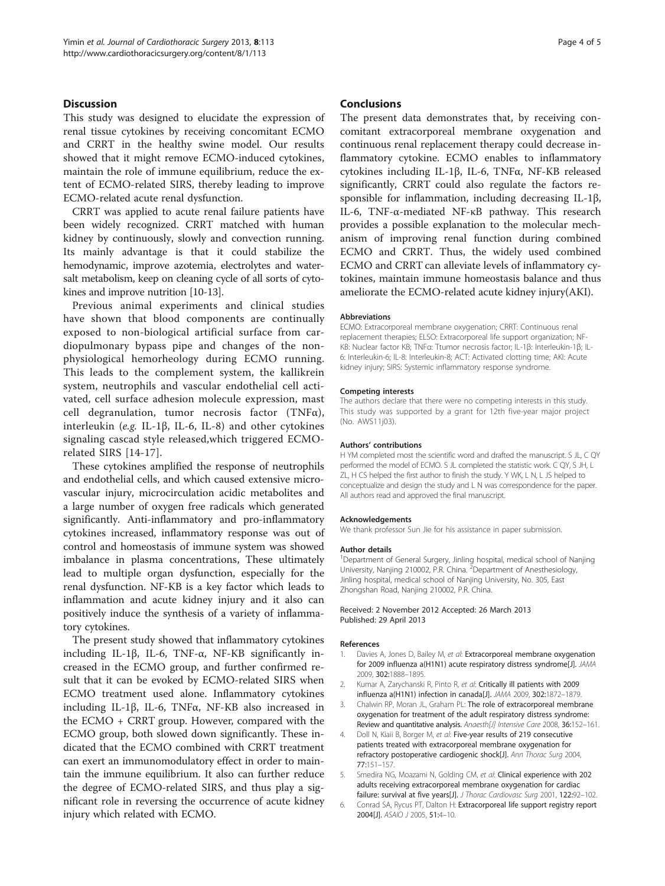# <span id="page-3-0"></span>**Discussion**

This study was designed to elucidate the expression of renal tissue cytokines by receiving concomitant ECMO and CRRT in the healthy swine model. Our results showed that it might remove ECMO-induced cytokines, maintain the role of immune equilibrium, reduce the extent of ECMO-related SIRS, thereby leading to improve ECMO-related acute renal dysfunction.

CRRT was applied to acute renal failure patients have been widely recognized. CRRT matched with human kidney by continuously, slowly and convection running. Its mainly advantage is that it could stabilize the hemodynamic, improve azotemia, electrolytes and watersalt metabolism, keep on cleaning cycle of all sorts of cytokines and improve nutrition [\[10](#page-4-0)-[13](#page-4-0)].

Previous animal experiments and clinical studies have shown that blood components are continually exposed to non-biological artificial surface from cardiopulmonary bypass pipe and changes of the nonphysiological hemorheology during ECMO running. This leads to the complement system, the kallikrein system, neutrophils and vascular endothelial cell activated, cell surface adhesion molecule expression, mast cell degranulation, tumor necrosis factor (TNFα), interleukin (e.g. IL-1β, IL-6, IL-8) and other cytokines signaling cascad style released,which triggered ECMOrelated SIRS [[14-17\]](#page-4-0).

These cytokines amplified the response of neutrophils and endothelial cells, and which caused extensive microvascular injury, microcirculation acidic metabolites and a large number of oxygen free radicals which generated significantly. Anti-inflammatory and pro-inflammatory cytokines increased, inflammatory response was out of control and homeostasis of immune system was showed imbalance in plasma concentrations, These ultimately lead to multiple organ dysfunction, especially for the renal dysfunction. NF-КB is a key factor which leads to inflammation and acute kidney injury and it also can positively induce the synthesis of a variety of inflammatory cytokines.

The present study showed that inflammatory cytokines including IL-1β, IL-6, TNF-α, NF-КB significantly increased in the ECMO group, and further confirmed result that it can be evoked by ECMO-related SIRS when ECMO treatment used alone. Inflammatory cytokines including IL-1β, IL-6, TNFα, NF-КB also increased in the ECMO + CRRT group. However, compared with the ECMO group, both slowed down significantly. These indicated that the ECMO combined with CRRT treatment can exert an immunomodulatory effect in order to maintain the immune equilibrium. It also can further reduce the degree of ECMO-related SIRS, and thus play a significant role in reversing the occurrence of acute kidney injury which related with ECMO.

#### Conclusions

The present data demonstrates that, by receiving concomitant extracorporeal membrane oxygenation and continuous renal replacement therapy could decrease inflammatory cytokine. ECMO enables to inflammatory cytokines including IL-1β, IL-6, TNFα, NF-КB released significantly, CRRT could also regulate the factors responsible for inflammation, including decreasing IL-1β, IL-6, TNF-α-mediated NF-κB pathway. This research provides a possible explanation to the molecular mechanism of improving renal function during combined ECMO and CRRT. Thus, the widely used combined ECMO and CRRT can alleviate levels of inflammatory cytokines, maintain immune homeostasis balance and thus ameliorate the ECMO-related acute kidney injury(AKI).

#### Abbreviations

ECMO: Extracorporeal membrane oxygenation; CRRT: Continuous renal replacement therapies; ELSO: Extracorporeal life support organization; NF-КB: Nuclear factor КB; TNFα: Ttumor necrosis factor; IL-1β: Interleukin-1β; IL-6: Interleukin-6; IL-8: Interleukin-8; ACT: Activated clotting time; AKI: Acute kidney injury; SIRS: Systemic inflammatory response syndrome.

#### Competing interests

The authors declare that there were no competing interests in this study. This study was supported by a grant for 12th five-year major project (No. AWS11j03).

#### Authors' contributions

H YM completed most the scientific word and drafted the manuscript. S JL, C QY performed the model of ECMO. S JL completed the statistic work. C QY, S JH, L ZL, H CS helped the first author to finish the study. Y WK, L N, L JS helped to conceptualize and design the study and L N was correspondence for the paper. All authors read and approved the final manuscript.

#### Acknowledgements

We thank professor Sun Jie for his assistance in paper submission.

#### Author details

<sup>1</sup>Department of General Surgery, Jinling hospital, medical school of Nanjing University, Nanjing 210002, P.R. China. <sup>2</sup>Department of Anesthesiology, Jinling hospital, medical school of Nanjing University, No. 305, East Zhongshan Road, Nanjing 210002, P.R. China.

#### Received: 2 November 2012 Accepted: 26 March 2013 Published: 29 April 2013

#### References

- 1. Davies A, Jones D, Bailey M, et al: Extracorporeal membrane oxygenation for 2009 influenza a(H1N1) acute respiratory distress syndrome[J]. JAMA 2009, 302:1888–1895.
- 2. Kumar A, Zarychanski R, Pinto R, et al: Critically ill patients with 2009 influenza a(H1N1) infection in canada[J]. JAMA 2009, 302:1872–1879.
- 3. Chalwin RP, Moran JL, Graham PL: The role of extracorporeal membrane oxygenation for treatment of the adult respiratory distress syndrome: Review and quantitative analysis. Anaesth[J] Intensive Care 2008, 36:152-161.
- Doll N, Kiaii B, Borger M, et al: Five-year results of 219 consecutive patients treated with extracorporeal membrane oxygenation for refractory postoperative cardiogenic shock[J]. Ann Thorac Surg 2004, 77:151–157.
- 5. Smedira NG, Moazami N, Golding CM, et al: Clinical experience with 202 adults receiving extracorporeal membrane oxygenation for cardiac failure: survival at five years[J]. J Thorac Cardiovasc Surg 2001, 122:92–102.
- 6. Conrad SA, Rycus PT, Dalton H: Extracorporeal life support registry report 2004[J]. ASAIO J 2005, 51:4–10.